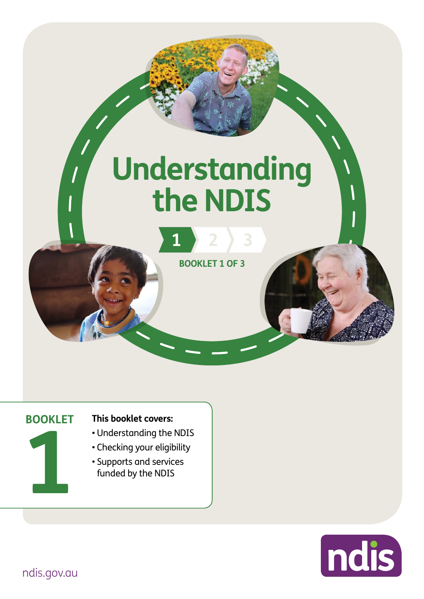# **Understanding the NDIS**



**1 2 3**

**1**

#### **BOOKLET This booklet covers:**

- Understanding the NDIS
- Checking your eligibility
- Supports and services funded by the NDIS

ndis

[ndis.gov.au](https://ndis.gov.au/)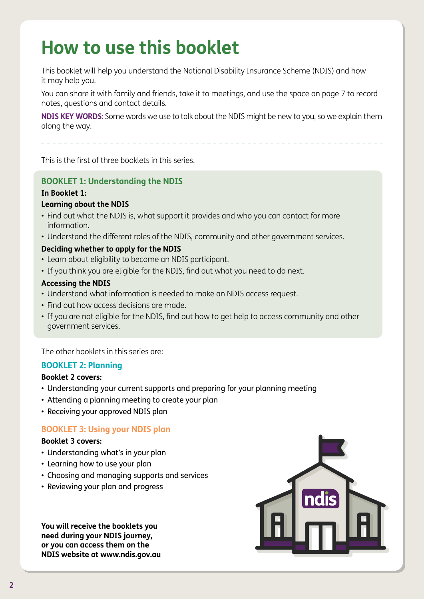## **How to use this booklet**

This booklet will help you understand the National Disability Insurance Scheme (NDIS) and how it may help you.

You can share it with family and friends, take it to meetings, and use the space on page 7 to record notes, questions and contact details.

**NDIS KEY WORDS:** Some words we use to talk about the NDIS might be new to you, so we explain them along the way.

This is the first of three booklets in this series.

#### **BOOKLET 1: Understanding the NDIS**

#### **In Booklet 1:**

#### **Learning about the NDIS**

- Find out what the NDIS is, what support it provides and who you can contact for more information.
- Understand the different roles of the NDIS, community and other government services.

#### **Deciding whether to apply for the NDIS**

- Learn about eligibility to become an NDIS participant.
- If you think you are eligible for the NDIS, find out what you need to do next.

#### **Accessing the NDIS**

- Understand what information is needed to make an NDIS access request.
- Find out how access decisions are made.
- If you are not eligible for the NDIS, find out how to get help to access community and other government services.

The other booklets in this series are:

#### **BOOKLET 2: Planning**

#### **Booklet 2 covers:**

- Understanding your current supports and preparing for your planning meeting
- Attending a planning meeting to create your plan
- Receiving your approved NDIS plan

#### **BOOKLET 3: Using your NDIS plan**

#### **Booklet 3 covers:**

- Understanding what's in your plan
- Learning how to use your plan
- Choosing and managing supports and services
- Reviewing your plan and progress

**You will receive the booklets you need during your NDIS journey, or you can access them on the NDIS website at [www.ndis.gov.au](http://www.ndis.gov.au)**

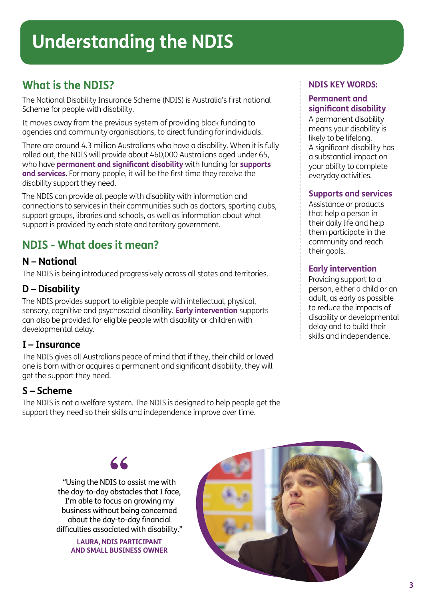## **What is the NDIS?**

The National Disability Insurance Scheme (NDIS) is Australia's first national Scheme for people with disability.

It moves away from the previous system of providing block funding to agencies and community organisations, to direct funding for individuals.

There are around 4.3 million Australians who have a disability. When it is fully rolled out, the NDIS will provide about 460,000 Australians aged under 65, who have **permanent and significant disability** with funding for **supports and services**. For many people, it will be the first time they receive the disability support they need.

The NDIS can provide all people with disability with information and connections to services in their communities such as doctors, sporting clubs, support groups, libraries and schools, as well as information about what support is provided by each state and territory government.

## **NDIS - What does it mean?**

### **N – National**

The NDIS is being introduced progressively across all states and territories.

## **D – Disability**

The NDIS provides support to eligible people with intellectual, physical, sensory, cognitive and psychosocial disability. **Early intervention** supports can also be provided for eligible people with disability or children with developmental delay.

## **I – Insurance**

The NDIS gives all Australians peace of mind that if they, their child or loved one is born with or acquires a permanent and significant disability, they will get the support they need.

## **S – Scheme**

The NDIS is not a welfare system. The NDIS is designed to help people get the support they need so their skills and independence improve over time.

#### **NDIS KEY WORDS:**

#### **Permanent and significant disability**

A permanent disability means your disability is likely to be lifelong. A significant disability has a substantial impact on your ability to complete everyday activities.

#### **Supports and services**

Assistance or products that help a person in their daily life and help them participate in the community and reach their goals.

#### **Early intervention**

Providing support to a person, either a child or an adult, as early as possible to reduce the impacts of disability or developmental delay and to build their skills and independence.

"Using the NDIS to assist me with **"** the day-to-day obstacles that I face, I'm able to focus on growing my business without being concerned about the day-to-day financial difficulties associated with disability."

> **LAURA, NDIS PARTICIPANT AND SMALL BUSINESS OWNER**

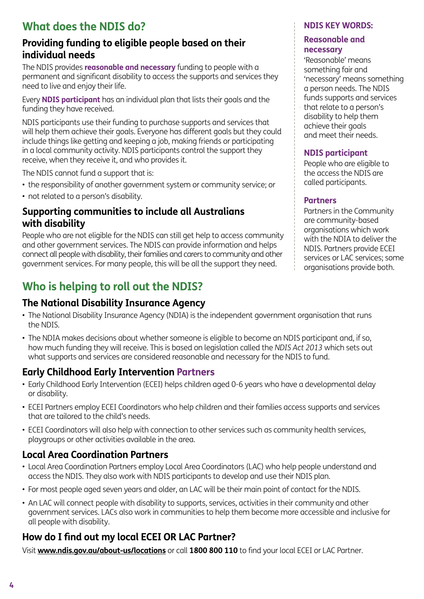## **What does the NDIS do?**

## **Providing funding to eligible people based on their individual needs**

The NDIS provides **reasonable and necessary** funding to people with a permanent and significant disability to access the supports and services they need to live and enjoy their life.

Every **NDIS participant** has an individual plan that lists their goals and the funding they have received.

NDIS participants use their funding to purchase supports and services that will help them achieve their goals. Everyone has different goals but they could include things like getting and keeping a job, making friends or participating in a local community activity. NDIS participants control the support they receive, when they receive it, and who provides it.

The NDIS cannot fund a support that is:

- the responsibility of another government system or community service; or
- not related to a person's disability.

## **Supporting communities to include all Australians with disability**

People who are not eligible for the NDIS can still get help to access community and other government services. The NDIS can provide information and helps connect all people with disability, their families and carers to community and other government services. For many people, this will be all the support they need.

## **Who is helping to roll out the NDIS?**

## **The National Disability Insurance Agency**

- The National Disability Insurance Agency (NDIA) is the independent government organisation that runs the NDIS.
- The NDIA makes decisions about whether someone is eligible to become an NDIS participant and, if so, how much funding they will receive. This is based on legislation called the *NDIS Act 2013* which sets out what supports and services are considered reasonable and necessary for the NDIS to fund.

## **Early Childhood Early Intervention Partners**

- Early Childhood Early Intervention (ECEI) helps children aged 0-6 years who have a developmental delay or disability.
- ECEI Partners employ ECEI Coordinators who help children and their families access supports and services that are tailored to the child's needs.
- ECEI Coordinators will also help with connection to other services such as community health services, playgroups or other activities available in the area.

## **Local Area Coordination Partners**

- Local Area Coordination Partners employ Local Area Coordinators (LAC) who help people understand and access the NDIS. They also work with NDIS participants to develop and use their NDIS plan.
- For most people aged seven years and older, an LAC will be their main point of contact for the NDIS.
- An LAC will connect people with disability to supports, services, activities in their community and other government services. LACs also work in communities to help them become more accessible and inclusive for all people with disability.

## **How do I find out my local ECEI OR LAC Partner?**

Visit **[www.ndis.gov.au/about-us/locations](http://www.ndis.gov.au/about-us/locations)** or call **1800 800 110** to find your local ECEI or LAC Partner.

#### **NDIS KEY WORDS:**

#### **Reasonable and necessary**

'Reasonable' means something fair and 'necessary' means something a person needs. The NDIS funds supports and services that relate to a person's disability to help them achieve their goals and meet their needs.

### **NDIS participant**

People who are eligible to the access the NDIS are called participants.

### **Partners**

Partners in the Community are community-based organisations which work with the NDIA to deliver the NDIS. Partners provide ECEI services or LAC services; some organisations provide both.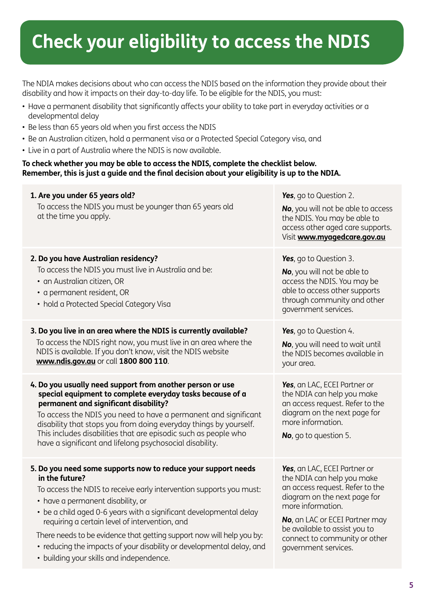# **Check your eligibility to access the NDIS**

The NDIA makes decisions about who can access the NDIS based on the information they provide about their disability and how it impacts on their day-to-day life. To be eligible for the NDIS, you must:

- Have a permanent disability that significantly affects your ability to take part in everyday activities or a developmental delay
- Be less than 65 years old when you first access the NDIS
- Be an Australian citizen, hold a permanent visa or a Protected Special Category visa, and
- Live in a part of Australia where the NDIS is now available.

#### **To check whether you may be able to access the NDIS, complete the checklist below. Remember, this is just a guide and the final decision about your eligibility is up to the NDIA.**

| 1. Are you under 65 years old?<br>To access the NDIS you must be younger than 65 years old<br>at the time you apply.                                                                                                                                                                                                                                                                                                                                                                                              | Yes, go to Question 2.<br>No, you will not be able to access<br>the NDIS. You may be able to<br>access other aged care supports.<br>Visit www.myagedcare.gov.au                                                                                                                |
|-------------------------------------------------------------------------------------------------------------------------------------------------------------------------------------------------------------------------------------------------------------------------------------------------------------------------------------------------------------------------------------------------------------------------------------------------------------------------------------------------------------------|--------------------------------------------------------------------------------------------------------------------------------------------------------------------------------------------------------------------------------------------------------------------------------|
| 2. Do you have Australian residency?<br>To access the NDIS you must live in Australia and be:<br>• an Australian citizen, OR<br>• a permanent resident, OR<br>• hold a Protected Special Category Visa                                                                                                                                                                                                                                                                                                            | Yes, go to Question 3.<br>No, you will not be able to<br>access the NDIS. You may be<br>able to access other supports<br>through community and other<br>government services.                                                                                                   |
| 3. Do you live in an area where the NDIS is currently available?<br>To access the NDIS right now, you must live in an area where the<br>NDIS is available. If you don't know, visit the NDIS website<br>www.ndis.gov.au or call 1800 800 110.                                                                                                                                                                                                                                                                     | Yes, go to Question 4.<br>No, you will need to wait until<br>the NDIS becomes available in<br>your area.                                                                                                                                                                       |
| 4. Do you usually need support from another person or use<br>special equipment to complete everyday tasks because of a<br>permanent and significant disability?<br>To access the NDIS you need to have a permanent and significant<br>disability that stops you from doing everyday things by yourself.<br>This includes disabilities that are episodic such as people who<br>have a significant and lifelong psychosocial disability.                                                                            | Yes, an LAC, ECEI Partner or<br>the NDIA can help you make<br>an access request. Refer to the<br>diagram on the next page for<br>more information.<br>No, go to question 5.                                                                                                    |
| 5. Do you need some supports now to reduce your support needs<br>in the future?<br>To access the NDIS to receive early intervention supports you must:<br>• have a permanent disability, or<br>• be a child aged 0-6 years with a significant developmental delay<br>requiring a certain level of intervention, and<br>There needs to be evidence that getting support now will help you by:<br>• reducing the impacts of your disability or developmental delay, and<br>• building your skills and independence. | Yes, an LAC, ECEI Partner or<br>the NDIA can help you make<br>an access request. Refer to the<br>diagram on the next page for<br>more information.<br>No, an LAC or ECEI Partner may<br>be available to assist you to<br>connect to community or other<br>government services. |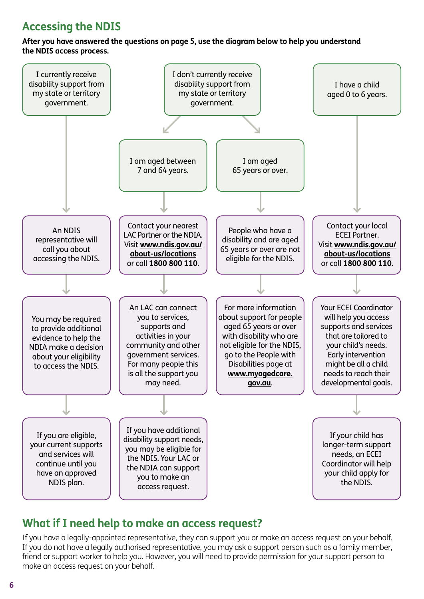## **Accessing the NDIS**

#### **After you have answered the questions on page 5, use the diagram below to help you understand the NDIS access process.**



## **What if I need help to make an access request?**

If you have a legally-appointed representative, they can support you or make an access request on your behalf. If you do not have a legally authorised representative, you may ask a support person such as a family member, friend or support worker to help you. However, you will need to provide permission for your support person to make an access request on your behalf.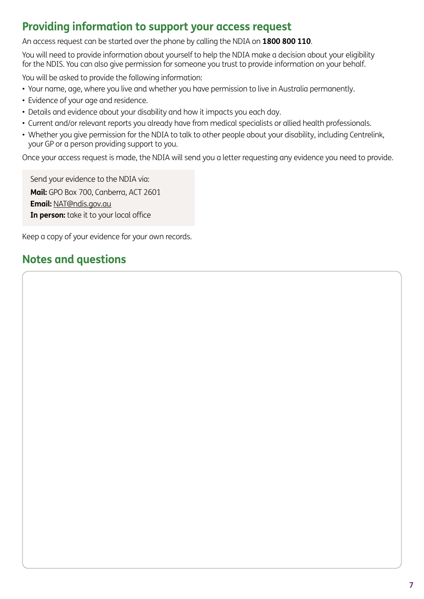## **Providing information to support your access request**

An access request can be started over the phone by calling the NDIA on **1800 800 110**.

You will need to provide information about yourself to help the NDIA make a decision about your eligibility for the NDIS. You can also give permission for someone you trust to provide information on your behalf.

You will be asked to provide the following information:

- Your name, age, where you live and whether you have permission to live in Australia permanently.
- Evidence of your age and residence.
- Details and evidence about your disability and how it impacts you each day.
- Current and/or relevant reports you already have from medical specialists or allied health professionals.
- Whether you give permission for the NDIA to talk to other people about your disability, including Centrelink, your GP or a person providing support to you.

Once your access request is made, the NDIA will send you a letter requesting any evidence you need to provide.

Send your evidence to the NDIA via: **Mail:** GPO Box 700, Canberra, ACT 2601 **Email:** [NAT@ndis.gov.au](mailto: NAT@ndis.gov.au) **In person:** take it to your local office

Keep a copy of your evidence for your own records.

## **Notes and questions**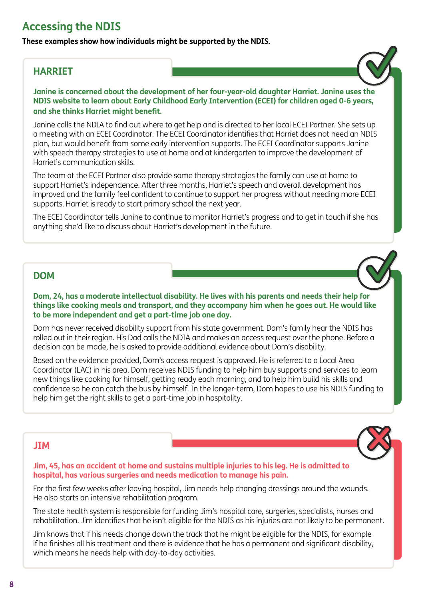## **Accessing the NDIS**

**These examples show how individuals might be supported by the NDIS.** 

### **HARRIET**

**Janine is concerned about the development of her four-year-old daughter Harriet. Janine uses the NDIS website to learn about Early Childhood Early Intervention (ECEI) for children aged 0-6 years, and she thinks Harriet might benefit.** 

Janine calls the NDIA to find out where to get help and is directed to her local ECEI Partner. She sets up a meeting with an ECEI Coordinator. The ECEI Coordinator identifies that Harriet does not need an NDIS plan, but would benefit from some early intervention supports. The ECEI Coordinator supports Janine with speech therapy strategies to use at home and at kindergarten to improve the development of Harriet's communication skills.

The team at the ECEI Partner also provide some therapy strategies the family can use at home to support Harriet's independence. After three months, Harriet's speech and overall development has improved and the family feel confident to continue to support her progress without needing more ECEI supports. Harriet is ready to start primary school the next year.

The ECEI Coordinator tells Janine to continue to monitor Harriet's progress and to get in touch if she has anything she'd like to discuss about Harriet's development in the future.

#### **DOM**

**Dom, 24, has a moderate intellectual disability. He lives with his parents and needs their help for things like cooking meals and transport, and they accompany him when he goes out. He would like to be more independent and get a part-time job one day.**

Dom has never received disability support from his state government. Dom's family hear the NDIS has rolled out in their region. His Dad calls the NDIA and makes an access request over the phone. Before a decision can be made, he is asked to provide additional evidence about Dom's disability.

Based on the evidence provided, Dom's access request is approved. He is referred to a Local Area Coordinator (LAC) in his area. Dom receives NDIS funding to help him buy supports and services to learn new things like cooking for himself, getting ready each morning, and to help him build his skills and confidence so he can catch the bus by himself. In the longer-term, Dom hopes to use his NDIS funding to help him get the right skills to get a part-time job in hospitality.

#### **JIM**

**Jim, 45, has an accident at home and sustains multiple injuries to his leg. He is admitted to hospital, has various surgeries and needs medication to manage his pain.**

For the first few weeks after leaving hospital, Jim needs help changing dressings around the wounds. He also starts an intensive rehabilitation program.

The state health system is responsible for funding Jim's hospital care, surgeries, specialists, nurses and rehabilitation. Jim identifies that he isn't eligible for the NDIS as his injuries are not likely to be permanent.

Jim knows that if his needs change down the track that he might be eligible for the NDIS, for example if he finishes all his treatment and there is evidence that he has a permanent and significant disability, which means he needs help with day-to-day activities.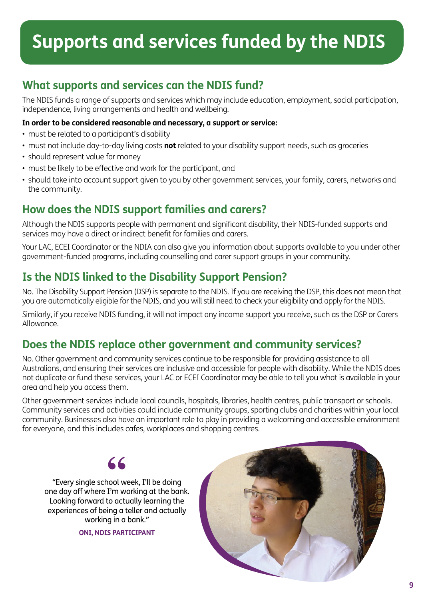## **Supports and services funded by the NDIS**

## **What supports and services can the NDIS fund?**

The NDIS funds a range of supports and services which may include education, employment, social participation, independence, living arrangements and health and wellbeing.

#### **In order to be considered reasonable and necessary, a support or service:**

- must be related to a participant's disability
- must not include day-to-day living costs **not** related to your disability support needs, such as groceries
- should represent value for money
- must be likely to be effective and work for the participant, and
- should take into account support given to you by other government services, your family, carers, networks and the community.

## **How does the NDIS support families and carers?**

Although the NDIS supports people with permanent and significant disability, their NDIS-funded supports and services may have a direct or indirect benefit for families and carers.

Your LAC, ECEI Coordinator or the NDIA can also give you information about supports available to you under other government-funded programs, including counselling and carer support groups in your community.

## **Is the NDIS linked to the Disability Support Pension?**

No. The Disability Support Pension (DSP) is separate to the NDIS. If you are receiving the DSP, this does not mean that you are automatically eligible for the NDIS, and you will still need to check your eligibility and apply for the NDIS.

Similarly, if you receive NDIS funding, it will not impact any income support you receive, such as the DSP or Carers Allowance.

## **Does the NDIS replace other government and community services?**

No. Other government and community services continue to be responsible for providing assistance to all Australians, and ensuring their services are inclusive and accessible for people with disability. While the NDIS does not duplicate or fund these services, your LAC or ECEI Coordinator may be able to tell you what is available in your area and help you access them.

Other government services include local councils, hospitals, libraries, health centres, public transport or schools. Community services and activities could include community groups, sporting clubs and charities within your local community. Businesses also have an important role to play in providing a welcoming and accessible environment for everyone, and this includes cafes, workplaces and shopping centres.



"Every single school week, I'll be doing **"** one day off where I'm working at the bank. Looking forward to actually learning the experiences of being a teller and actually working in a bank."

**ONI, NDIS PARTICIPANT**

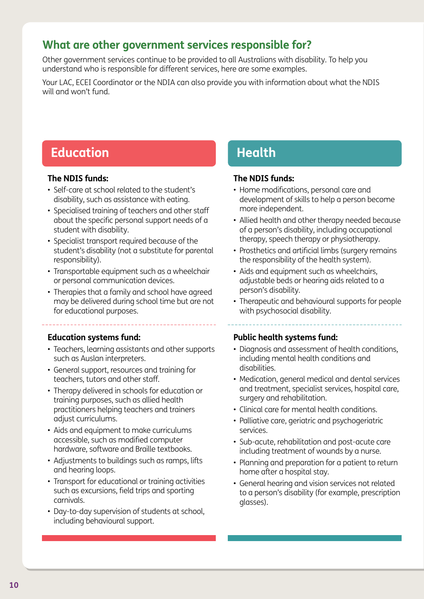## **What are other government services responsible for?**

Other government services continue to be provided to all Australians with disability. To help you understand who is responsible for different services, here are some examples.

Your LAC, ECEI Coordinator or the NDIA can also provide you with information about what the NDIS will and won't fund.

## **Education Health**

#### **The NDIS funds:**

- Self-care at school related to the student's disability, such as assistance with eating.
- Specialised training of teachers and other staff about the specific personal support needs of a student with disability.
- Specialist transport required because of the student's disability (not a substitute for parental responsibility).
- Transportable equipment such as a wheelchair or personal communication devices.
- Therapies that a family and school have agreed may be delivered during school time but are not for educational purposes.

#### **Education systems fund:**

- Teachers, learning assistants and other supports such as Auslan interpreters.
- General support, resources and training for teachers, tutors and other staff.
- Therapy delivered in schools for education or training purposes, such as allied health practitioners helping teachers and trainers adjust curriculums.
- Aids and equipment to make curriculums accessible, such as modified computer hardware, software and Braille textbooks.
- Adjustments to buildings such as ramps, lifts and hearing loops.
- Transport for educational or training activities such as excursions, field trips and sporting carnivals.
- Day-to-day supervision of students at school, including behavioural support.

#### **The NDIS funds:**

- Home modifications, personal care and development of skills to help a person become more independent.
- Allied health and other therapy needed because of a person's disability, including occupational therapy, speech therapy or physiotherapy.
- Prosthetics and artificial limbs (surgery remains the responsibility of the health system).
- Aids and equipment such as wheelchairs, adjustable beds or hearing aids related to a person's disability.
- Therapeutic and behavioural supports for people with psychosocial disability.

#### **Public health systems fund:**

- Diagnosis and assessment of health conditions, including mental health conditions and disabilities.
- Medication, general medical and dental services and treatment, specialist services, hospital care, surgery and rehabilitation.
- Clinical care for mental health conditions.
- Palliative care, geriatric and psychogeriatric services.
- Sub-acute, rehabilitation and post-acute care including treatment of wounds by a nurse.
- Planning and preparation for a patient to return home after a hospital stay.
- General hearing and vision services not related to a person's disability (for example, prescription glasses).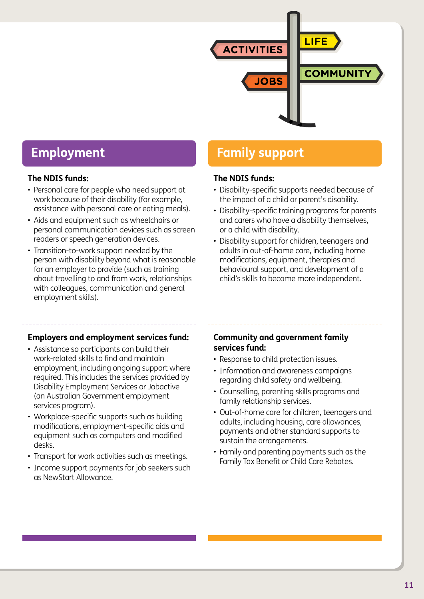

#### **The NDIS funds:**

- Personal care for people who need support at work because of their disability (for example, assistance with personal care or eating meals).
- Aids and equipment such as wheelchairs or personal communication devices such as screen readers or speech generation devices.
- Transition-to-work support needed by the person with disability beyond what is reasonable for an employer to provide (such as training about travelling to and from work, relationships with colleagues, communication and general employment skills).

## **Employment Family support**

#### **The NDIS funds:**

- Disability-specific supports needed because of the impact of a child or parent's disability.
- Disability-specific training programs for parents and carers who have a disability themselves, or a child with disability.
- Disability support for children, teenagers and adults in out-of-home care, including home modifications, equipment, therapies and behavioural support, and development of a child's skills to become more independent.

#### **Employers and employment services fund:**

- Assistance so participants can build their work-related skills to find and maintain employment, including ongoing support where required. This includes the services provided by Disability Employment Services or Jobactive (an Australian Government employment services program).
- Workplace-specific supports such as building modifications, employment-specific aids and equipment such as computers and modified desks.
- Transport for work activities such as meetings.
- Income support payments for job seekers such as NewStart Allowance.

#### **Community and government family services fund:**

- Response to child protection issues.
- Information and awareness campaigns regarding child safety and wellbeing.
- Counselling, parenting skills programs and family relationship services.
- Out-of-home care for children, teenagers and adults, including housing, care allowances, payments and other standard supports to sustain the arrangements.
- Family and parenting payments such as the Family Tax Benefit or Child Care Rebates.